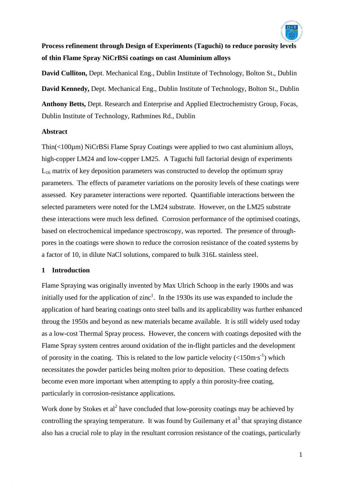

# **Process refinement through Design of Experiments (Taguchi) to reduce porosity levels of thin Flame Spray NiCrBSi coatings on cast Aluminium alloys**

**David Culliton,** Dept. Mechanical Eng., Dublin Institute of Technology, Bolton St., Dublin **David Kennedy,** Dept. Mechanical Eng., Dublin Institute of Technology, Bolton St., Dublin **Anthony Betts,** Dept. Research and Enterprise and Applied Electrochemistry Group, Focas, Dublin Institute of Technology, Rathmines Rd., Dublin

# **Abstract**

Thin(<100µm) NiCrBSi Flame Spray Coatings were applied to two cast aluminium alloys, high-copper LM24 and low-copper LM25. A Taguchi full factorial design of experiments  $L_{16}$  matrix of key deposition parameters was constructed to develop the optimum spray parameters. The effects of parameter variations on the porosity levels of these coatings were assessed. Key parameter interactions were reported. Quantifiable interactions between the selected parameters were noted for the LM24 substrate. However, on the LM25 substrate these interactions were much less defined. Corrosion performance of the optimised coatings, based on electrochemical impedance spectroscopy, was reported. The presence of throughpores in the coatings were shown to reduce the corrosion resistance of the coated systems by a factor of 10, in dilute NaCl solutions, compared to bulk 316L stainless steel.

# **1 Introduction**

Flame Spraying was originally invented by Max Ulrich Schoop in the early 1900s and was initially used for the application of zinc<sup>1</sup>. In the 1930s its use was expanded to include the application of hard bearing coatings onto steel balls and its applicability was further enhanced throug the 1950s and beyond as new materials became available. It is still widely used today as a low-cost Thermal Spray process. However, the concern with coatings deposited with the Flame Spray system centres around oxidation of the in-flight particles and the development of porosity in the coating. This is related to the low particle velocity  $\left(\langle 150 \text{m} \cdot \text{s}^{-1} \rangle \right)$  which necessitates the powder particles being molten prior to deposition. These coating defects become even more important when attempting to apply a thin porosity-free coating, particularly in corrosion-resistance applications.

Work done by Stokes et al<sup>2</sup> have concluded that low-porosity coatings may be achieved by controlling the spraying temperature. It was found by Guilemany et al<sup>3</sup> that spraying distance also has a crucial role to play in the resultant corrosion resistance of the coatings, particularly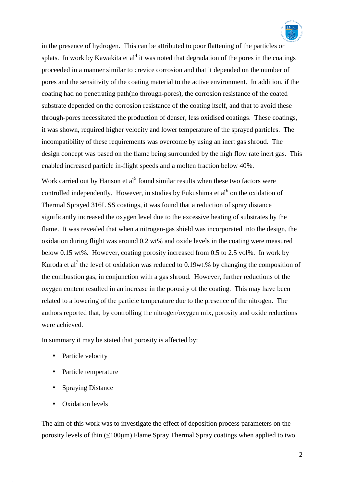

in the presence of hydrogen. This can be attributed to poor flattening of the particles or splats. In work by Kawakita et  $al<sup>4</sup>$  it was noted that degradation of the pores in the coatings proceeded in a manner similar to crevice corrosion and that it depended on the number of pores and the sensitivity of the coating material to the active environment. In addition, if the coating had no penetrating path(no through-pores), the corrosion resistance of the coated substrate depended on the corrosion resistance of the coating itself, and that to avoid these through-pores necessitated the production of denser, less oxidised coatings. These coatings, it was shown, required higher velocity and lower temperature of the sprayed particles. The incompatibility of these requirements was overcome by using an inert gas shroud. The design concept was based on the flame being surrounded by the high flow rate inert gas. This enabled increased particle in-flight speeds and a molten fraction below 40%.

Work carried out by Hanson et  $a^{5}$  found similar results when these two factors were controlled independently. However, in studies by Fukushima et  $al<sup>6</sup>$  on the oxidation of Thermal Sprayed 316L SS coatings, it was found that a reduction of spray distance significantly increased the oxygen level due to the excessive heating of substrates by the flame. It was revealed that when a nitrogen-gas shield was incorporated into the design, the oxidation during flight was around 0.2 wt% and oxide levels in the coating were measured below 0.15 wt%. However, coating porosity increased from 0.5 to 2.5 vol%. In work by Kuroda et al<sup>7</sup> the level of oxidation was reduced to 0.19wt.% by changing the composition of the combustion gas, in conjunction with a gas shroud. However, further reductions of the oxygen content resulted in an increase in the porosity of the coating. This may have been related to a lowering of the particle temperature due to the presence of the nitrogen. The authors reported that, by controlling the nitrogen/oxygen mix, porosity and oxide reductions were achieved.

In summary it may be stated that porosity is affected by:

- Particle velocity
- Particle temperature
- Spraying Distance
- Oxidation levels

The aim of this work was to investigate the effect of deposition process parameters on the porosity levels of thin  $(\leq 100 \mu m)$  Flame Spray Thermal Spray coatings when applied to two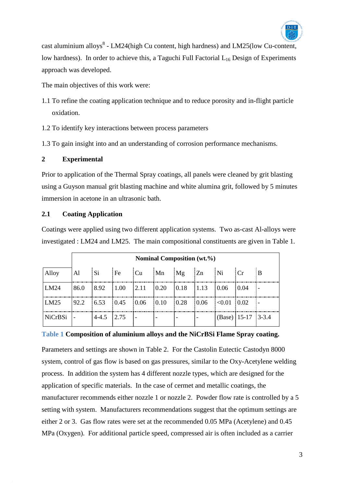

cast aluminium alloys $8$  - LM24(high Cu content, high hardness) and LM25(low Cu-content, low hardness). In order to achieve this, a Taguchi Full Factorial  $L_{16}$  Design of Experiments approach was developed.

The main objectives of this work were:

- 1.1 To refine the coating application technique and to reduce porosity and in-flight particle oxidation.
- 1.2 To identify key interactions between process parameters

1.3 To gain insight into and an understanding of corrosion performance mechanisms.

# **2 Experimental**

Prior to application of the Thermal Spray coatings, all panels were cleaned by grit blasting using a Guyson manual grit blasting machine and white alumina grit, followed by 5 minutes immersion in acetone in an ultrasonic bath.

# **2.1 Coating Application**

Coatings were applied using two different application systems. Two as-cast Al-alloys were investigated : LM24 and LM25. The main compositional constituents are given in Table 1.

|                | Nominal Composition (wt.%) |           |       |      |                    |                              |           |                  |      |           |
|----------------|----------------------------|-----------|-------|------|--------------------|------------------------------|-----------|------------------|------|-----------|
| Alloy          | A <sub>1</sub>             | Si.       | Fe    | Cu   | Mn                 | Mg                           | <b>Zn</b> | Ni               | Cr   | ΙB        |
| LM24           | 86.0                       | 8.92      | 1.00  | 2.11 | 0.20               | $\vert 0.18 \vert$           | 1.13      | 0.06             | 0.04 |           |
| LM25           | 92.2                       | 6.53      | 0.45  | 0.06 | $\vert 0.10 \vert$ | 0.28                         | 0.06      | < 0.01           | 0.02 |           |
| <b>NiCrBSi</b> |                            | $4 - 4.5$ | 12.75 |      |                    | $\qquad \qquad \blacksquare$ |           | (Base) $ 15-17 $ |      | $3 - 3.4$ |

# **Table 1 Composition of aluminium alloys and the NiCrBSi Flame Spray coating.**

Parameters and settings are shown in Table 2. For the Castolin Eutectic Castodyn 8000 system, control of gas flow is based on gas pressures, similar to the Oxy-Acetylene welding process. In addition the system has 4 different nozzle types, which are designed for the application of specific materials. In the case of cermet and metallic coatings, the manufacturer recommends either nozzle 1 or nozzle 2. Powder flow rate is controlled by a 5 setting with system. Manufacturers recommendations suggest that the optimum settings are either 2 or 3. Gas flow rates were set at the recommended 0.05 MPa (Acetylene) and 0.45 MPa (Oxygen). For additional particle speed, compressed air is often included as a carrier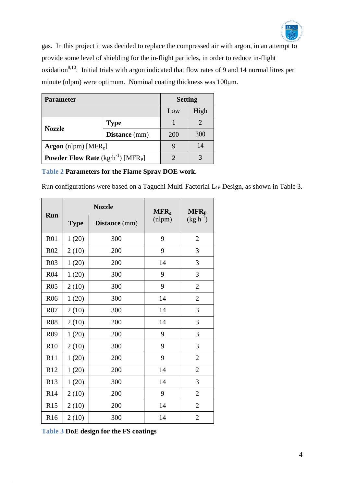

gas. In this project it was decided to replace the compressed air with argon, in an attempt to provide some level of shielding for the in-flight particles, in order to reduce in-flight oxidation<sup>9,10</sup>. Initial trials with argon indicated that flow rates of 9 and 14 normal litres per minute (nlpm) were optimum. Nominal coating thickness was 100μm.

| <b>Parameter</b>                                                | <b>Setting</b>       |            |      |
|-----------------------------------------------------------------|----------------------|------------|------|
|                                                                 |                      | Low        | High |
| <b>Nozzle</b>                                                   | <b>Type</b>          |            | 2    |
|                                                                 | <b>Distance</b> (mm) | <b>200</b> | 300  |
| <b>Argon</b> (nlpm) [MFR <sub>g</sub> ]                         |                      | 14         |      |
| <b>Powder Flow Rate</b> $(kg \cdot h^{-1})$ [MFR <sub>P</sub> ] |                      |            |      |

# **Table 2 Parameters for the Flame Spray DOE work.**

Run configurations were based on a Taguchi Multi-Factorial L<sub>16</sub> Design, as shown in Table 3.

|                 |             | <b>Nozzle</b>        | MFR <sub>g</sub> | <b>MFR<sub>P</sub></b><br>$(kg \cdot h^{-1})$ |  |
|-----------------|-------------|----------------------|------------------|-----------------------------------------------|--|
| <b>Run</b>      | <b>Type</b> | <b>Distance</b> (mm) | $n$ lpm $)$      |                                               |  |
| R01             | 1(20)       | 300                  | 9                | $\mathbf{2}$                                  |  |
| R <sub>02</sub> | 2(10)       | 200                  | 9                | 3                                             |  |
| <b>R03</b>      | 1(20)       | 200                  | 14               | 3                                             |  |
| <b>R04</b>      | 1(20)       | 300                  | 9                | 3                                             |  |
| <b>R05</b>      | 2(10)       | 300                  | 9                | $\overline{2}$                                |  |
| <b>R06</b>      | 1(20)       | 300                  | 14               | $\overline{2}$                                |  |
| R07             | 2(10)       | 300                  | 14               | 3                                             |  |
| <b>R08</b>      | 2(10)       | 200                  | 14               | 3                                             |  |
| R <sub>09</sub> | 1(20)       | 200                  | 9                | 3                                             |  |
| R10             | 2(10)       | 300                  | 9                | 3                                             |  |
| R11             | 1(20)       | 200                  | 9                | $\overline{2}$                                |  |
| R12             | 1(20)       | 200                  | 14               | $\overline{2}$                                |  |
| R13             | 1(20)       | 300                  | 14               | 3                                             |  |
| R14             | 2(10)       | 200                  | 9                | $\mathfrak{2}$                                |  |
| R15             | 2(10)       | 200                  | 14               | $\overline{2}$                                |  |
| R <sub>16</sub> | 2(10)       | 300                  | 14               | $\overline{2}$                                |  |

**Table 3 DoE design for the FS coatings**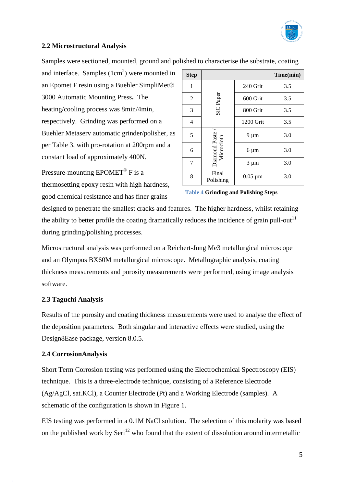

# **2.2 Microstructural Analysis**

Samples were sectioned, mounted, ground and polished to characterise the substrate, coating

and interface. Samples  $(1cm<sup>2</sup>)$  were mounted in an Epomet F resin using a Buehler SimpliMet® 3000 Automatic Mounting Press**.** The heating/cooling process was 8min/4min, respectively. Grinding was performed on a Buehler Metaserv automatic grinder/polisher, as per Table 3, with pro-rotation at 200rpm and a constant load of approximately 400N.

Pressure-mounting  $E$ POMET<sup>®</sup> F is a thermosetting epoxy resin with high hardness, good chemical resistance and has finer grains

| <b>Step</b>    |                               |              | Time(min) |
|----------------|-------------------------------|--------------|-----------|
| 1              |                               | 240 Grit     |           |
| $\overline{2}$ | SiC Paper                     | 600 Grit     | 3.5       |
| 3              |                               | 800 Grit     | 3.5       |
| 4              |                               | 1200 Grit    | 3.5       |
| 5              | Diamond Paste /<br>Microcloth | $9 \mu m$    | 3.0       |
| 6              |                               | $6 \mu m$    | 3.0       |
| 7              |                               | $3 \mu m$    | 3.0       |
| 8              | Final<br>Polishing            | $0.05 \mu m$ | 3.0       |

#### **Table 4 Grinding and Polishing Steps**

designed to penetrate the smallest cracks and features. The higher hardness, whilst retaining the ability to better profile the coating dramatically reduces the incidence of grain pull-out<sup>11</sup> during grinding/polishing processes.

Microstructural analysis was performed on a Reichert-Jung Me3 metallurgical microscope and an Olympus BX60M metallurgical microscope. Metallographic analysis, coating thickness measurements and porosity measurements were performed, using image analysis software.

# **2.3 Taguchi Analysis**

Results of the porosity and coating thickness measurements were used to analyse the effect of the deposition parameters. Both singular and interactive effects were studied, using the Design8Ease package, version 8.0.5.

# **2.4 CorrosionAnalysis**

Short Term Corrosion testing was performed using the Electrochemical Spectroscopy (EIS) technique. This is a three-electrode technique, consisting of a Reference Electrode (Ag/AgCl, sat.KCl), a Counter Electrode (Pt) and a Working Electrode (samples). A schematic of the configuration is shown in Figure 1.

EIS testing was performed in a 0.1M NaCl solution. The selection of this molarity was based on the published work by  $\text{Seri}^{12}$  who found that the extent of dissolution around intermetallic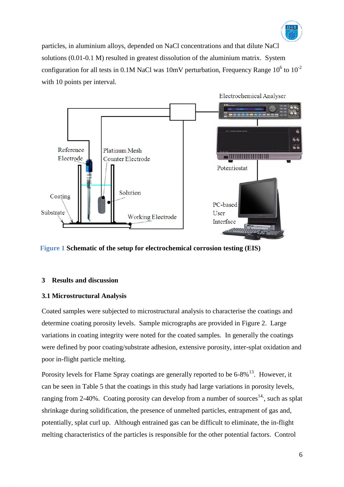

particles, in aluminium alloys, depended on NaCl concentrations and that dilute NaCl solutions (0.01-0.1 M) resulted in greatest dissolution of the aluminium matrix. System configuration for all tests in 0.1M NaCl was 10mV perturbation, Frequency Range  $10^6$  to  $10^{-2}$ with 10 points per interval.



**Figure 1 Schematic of the setup for electrochemical corrosion testing (EIS)**

#### **3 Results and discussion**

# **3.1 Microstructural Analysis**

Coated samples were subjected to microstructural analysis to characterise the coatings and determine coating porosity levels. Sample micrographs are provided in Figure 2. Large variations in coating integrity were noted for the coated samples. In generally the coatings were defined by poor coating/substrate adhesion, extensive porosity, inter-splat oxidation and poor in-flight particle melting.

Porosity levels for Flame Spray coatings are generally reported to be  $6-8\%$ <sup>13</sup>. However, it can be seen in Table 5 that the coatings in this study had large variations in porosity levels, ranging from 2-40%. Coating porosity can develop from a number of sources<sup>14</sup>, such as splat shrinkage during solidification, the presence of unmelted particles, entrapment of gas and, potentially, splat curl up. Although entrained gas can be difficult to eliminate, the in-flight melting characteristics of the particles is responsible for the other potential factors. Control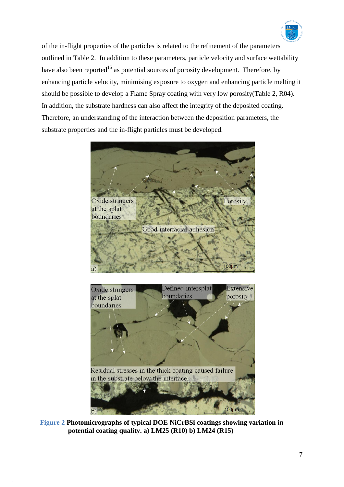

of the in-flight properties of the particles is related to the refinement of the parameters outlined in Table 2. In addition to these parameters, particle velocity and surface wettability have also been reported<sup>15</sup> as potential sources of porosity development. Therefore, by enhancing particle velocity, minimising exposure to oxygen and enhancing particle melting it should be possible to develop a Flame Spray coating with very low porosity(Table 2, R04). In addition, the substrate hardness can also affect the integrity of the deposited coating. Therefore, an understanding of the interaction between the deposition parameters, the substrate properties and the in-flight particles must be developed.





**Figure 2 Photomicrographs of typical DOE NiCrBSi coatings showing variation in potential coating quality. a) LM25 (R10) b) LM24 (R15)**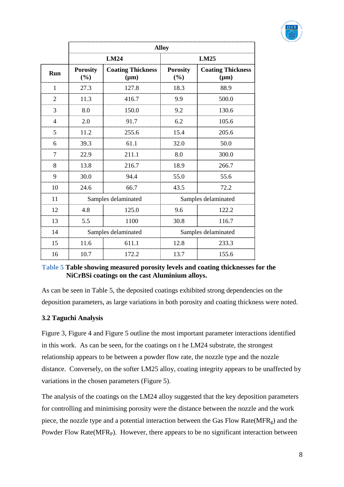

|                |                        | <b>Alloy</b>                          |                        |                                       |  |  |  |  |
|----------------|------------------------|---------------------------------------|------------------------|---------------------------------------|--|--|--|--|
|                |                        | <b>LM24</b>                           | LM25                   |                                       |  |  |  |  |
| Run            | <b>Porosity</b><br>(%) | <b>Coating Thickness</b><br>$(\mu m)$ | <b>Porosity</b><br>(%) | <b>Coating Thickness</b><br>$(\mu m)$ |  |  |  |  |
| 1              | 27.3                   | 127.8                                 | 18.3                   | 88.9                                  |  |  |  |  |
| $\overline{2}$ | 11.3                   | 416.7                                 | 9.9                    | 500.0                                 |  |  |  |  |
| 3              | 8.0                    | 150.0                                 | 9.2                    | 130.6                                 |  |  |  |  |
| 4              | 2.0                    | 91.7                                  |                        | 105.6                                 |  |  |  |  |
| 5              | 11.2                   | 255.6                                 | 15.4                   | 205.6                                 |  |  |  |  |
| 6              | 39.3                   | 61.1                                  | 32.0                   | 50.0                                  |  |  |  |  |
| 7              | 22.9                   | 211.1                                 | 8.0                    | 300.0                                 |  |  |  |  |
| 8              | 13.8                   | 216.7                                 | 18.9                   | 266.7                                 |  |  |  |  |
| 9              | 30.0                   | 94.4                                  | 55.0                   | 55.6                                  |  |  |  |  |
| 10             | 24.6                   | 66.7                                  | 43.5                   | 72.2                                  |  |  |  |  |
| 11             |                        | Samples delaminated                   | Samples delaminated    |                                       |  |  |  |  |
| 12             | 4.8                    | 125.0                                 | 9.6                    | 122.2                                 |  |  |  |  |
| 13             | 5.5                    | 1100                                  | 30.8                   | 116.7                                 |  |  |  |  |
| 14             |                        | Samples delaminated                   | Samples delaminated    |                                       |  |  |  |  |
| 15             | 11.6                   | 611.1                                 | 12.8                   | 233.3                                 |  |  |  |  |
| 16             | 10.7                   | 172.2                                 | 13.7                   | 155.6                                 |  |  |  |  |

# **Table 5 Table showing measured porosity levels and coating thicknesses for the NiCrBSi coatings on the cast Aluminium alloys.**

As can be seen in Table 5, the deposited coatings exhibited strong dependencies on the deposition parameters, as large variations in both porosity and coating thickness were noted.

# **3.2 Taguchi Analysis**

Figure 3, Figure 4 and Figure 5 outline the most important parameter interactions identified in this work. As can be seen, for the coatings on t he LM24 substrate, the strongest relationship appears to be between a powder flow rate, the nozzle type and the nozzle distance. Conversely, on the softer LM25 alloy, coating integrity appears to be unaffected by variations in the chosen parameters (Figure 5).

The analysis of the coatings on the LM24 alloy suggested that the key deposition parameters for controlling and minimising porosity were the distance between the nozzle and the work piece, the nozzle type and a potential interaction between the Gas Flow Rate( $MFR<sub>g</sub>$ ) and the Powder Flow Rate( $MFR<sub>P</sub>$ ). However, there appears to be no significant interaction between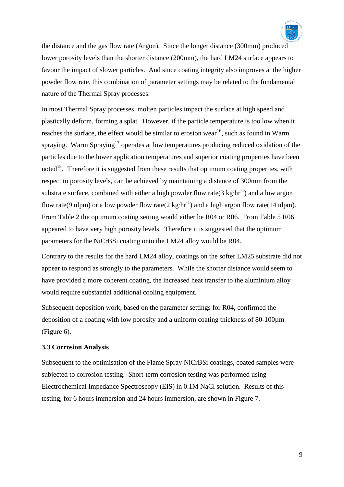

the distance and the gas flow rate (Argon). Since the longer distance (300mm) produced lower porosity levels than the shorter distance (200mm), the hard LM24 surface appears to favour the impact of slower particles. And since coating integrity also improves at the higher powder flow rate, this combination of parameter settings may be related to the fundamental nature of the Thermal Spray processes.

In most Thermal Spray processes, molten particles impact the surface at high speed and plastically deform, forming a splat. However, if the particle temperature is too low when it reaches the surface, the effect would be similar to erosion wear<sup>16</sup>, such as found in Warm spraying. Warm Spraying<sup>17</sup> operates at low temperatures producing reduced oxidation of the particles due to the lower application temperatures and superior coating properties have been noted<sup>18</sup>. Therefore it is suggested from these results that optimum coating properties, with respect to porosity levels, can be achieved by maintaining a distance of 300mm from the substrate surface, combined with either a high powder flow rate  $(3 \text{ kg} \cdot \text{hr}^{-1})$  and a low argon flow rate(9 nlpm) or a low powder flow rate(2 kg $\cdot$ hr<sup>-1</sup>) and a high argon flow rate(14 nlpm). From Table 2 the optimum coating setting would either be R04 or R06. From Table 5 R06 appeared to have very high porosity levels. Therefore it is suggested that the optimum parameters for the NiCrBSi coating onto the LM24 alloy would be R04.

Contrary to the results for the hard LM24 alloy, coatings on the softer LM25 substrate did not appear to respond as strongly to the parameters. While the shorter distance would seem to have provided a more coherent coating, the increased heat transfer to the aluminium alloy would require substantial additional cooling equipment.

Subsequent deposition work, based on the parameter settings for R04, confirmed the deposition of a coating with low porosity and a uniform coating thickness of 80-100µm (Figure 6).

#### **3.3 Corrosion Analysis**

Subsequent to the optimisation of the Flame Spray NiCrBSi coatings, coated samples were subjected to corrosion testing. Short-term corrosion testing was performed using Electrochemical Impedance Spectroscopy (EIS) in 0.1M NaCl solution. Results of this testing, for 6 hours immersion and 24 hours immersion, are shown in Figure 7.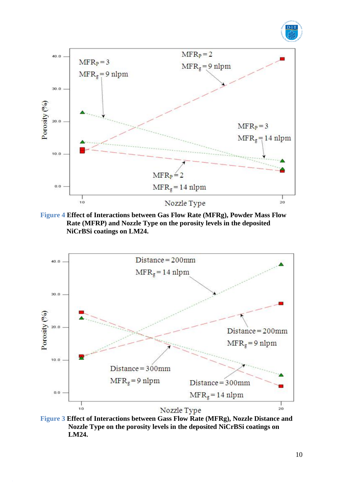







**Figure 3 Effect of Interactions between Gass Flow Rate (MFRg), Nozzle Distance and Nozzle Type on the porosity levels in the deposited NiCrBSi coatings on LM24.**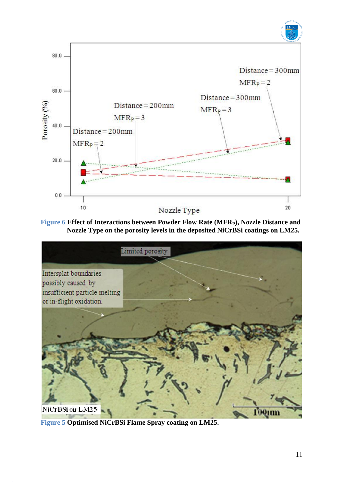

**Figure 6 Effect of Interactions between Powder Flow Rate (MFRP), Nozzle Distance and Nozzle Type on the porosity levels in the deposited NiCrBSi coatings on LM25.**



**Figure 5 Optimised NiCrBSi Flame Spray coating on LM25.**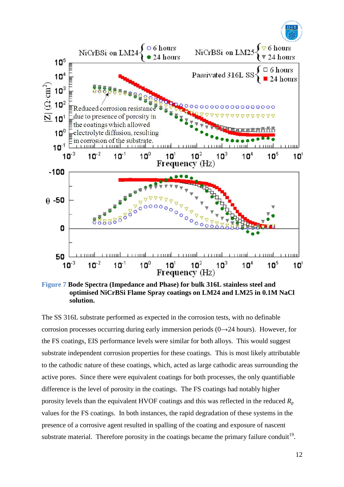



**Figure 7 Bode Spectra (Impedance and Phase) for bulk 316L stainless steel and optimised NiCrBSi Flame Spray coatings on LM24 and LM25 in 0.1M NaCl solution.**

The SS 316L substrate performed as expected in the corrosion tests, with no definable corrosion processes occurring during early immersion periods  $(0\rightarrow 24$  hours). However, for the FS coatings, EIS performance levels were similar for both alloys. This would suggest substrate independent corrosion properties for these coatings. This is most likely attributable to the cathodic nature of these coatings, which, acted as large cathodic areas surrounding the active pores. Since there were equivalent coatings for both processes, the only quantifiable difference is the level of porosity in the coatings. The FS coatings had notably higher porosity levels than the equivalent HVOF coatings and this was reflected in the reduced *R*<sup>p</sup> values for the FS coatings. In both instances, the rapid degradation of these systems in the presence of a corrosive agent resulted in spalling of the coating and exposure of nascent substrate material. Therefore porosity in the coatings became the primary failure conduit<sup>19</sup>.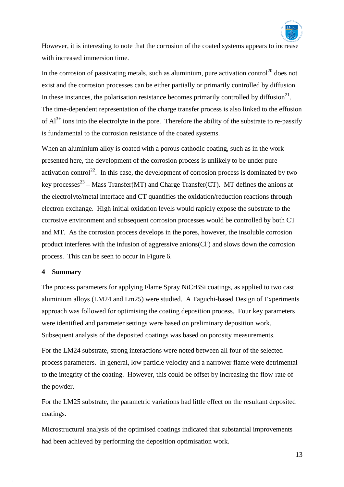

However, it is interesting to note that the corrosion of the coated systems appears to increase with increased immersion time.

In the corrosion of passivating metals, such as aluminium, pure activation control<sup>20</sup> does not exist and the corrosion processes can be either partially or primarily controlled by diffusion. In these instances, the polarisation resistance becomes primarily controlled by diffusion<sup>21</sup>. The time-dependent representation of the charge transfer process is also linked to the effusion of  $Al^{3+}$  ions into the electrolyte in the pore. Therefore the ability of the substrate to re-passify is fundamental to the corrosion resistance of the coated systems.

When an aluminium alloy is coated with a porous cathodic coating, such as in the work presented here, the development of the corrosion process is unlikely to be under pure activation control<sup>22</sup>. In this case, the development of corrosion process is dominated by two key processes<sup>23</sup> – Mass Transfer(MT) and Charge Transfer(CT). MT defines the anions at the electrolyte/metal interface and CT quantifies the oxidation/reduction reactions through electron exchange. High initial oxidation levels would rapidly expose the substrate to the corrosive environment and subsequent corrosion processes would be controlled by both CT and MT. As the corrosion process develops in the pores, however, the insoluble corrosion product interferes with the infusion of aggressive anions(Cl<sup>-</sup>) and slows down the corrosion process. This can be seen to occur in Figure 6.

#### **4 Summary**

The process parameters for applying Flame Spray NiCrBSi coatings, as applied to two cast aluminium alloys (LM24 and Lm25) were studied. A Taguchi-based Design of Experiments approach was followed for optimising the coating deposition process. Four key parameters were identified and parameter settings were based on preliminary deposition work. Subsequent analysis of the deposited coatings was based on porosity measurements.

For the LM24 substrate, strong interactions were noted between all four of the selected process parameters. In general, low particle velocity and a narrower flame were detrimental to the integrity of the coating. However, this could be offset by increasing the flow-rate of the powder.

For the LM25 substrate, the parametric variations had little effect on the resultant deposited coatings.

Microstructural analysis of the optimised coatings indicated that substantial improvements had been achieved by performing the deposition optimisation work.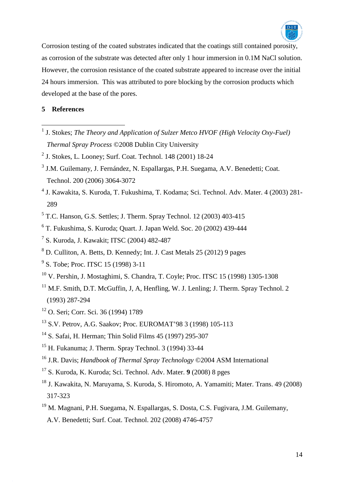

Corrosion testing of the coated substrates indicated that the coatings still contained porosity, as corrosion of the substrate was detected after only 1 hour immersion in 0.1M NaCl solution. However, the corrosion resistance of the coated substrate appeared to increase over the initial 24 hours immersion. This was attributed to pore blocking by the corrosion products which developed at the base of the pores.

# **References**

- J. Stokes; *The Theory and Application of Sulzer Metco HVOF (High Velocity Oxy-Fuel) Thermal Spray Process* ©2008 Dublin City University
- J. Stokes, L. Looney; Surf. Coat. Technol. 148 (2001) 18-24
- <sup>3</sup> J.M. Guilemany, J. Fernández, N. Espallargas, P.H. Suegama, A.V. Benedetti; Coat. Technol. 200 (2006) 3064-3072
- J. Kawakita, S. Kuroda, T. Fukushima, T. Kodama; Sci. Technol. Adv. Mater. 4 (2003) 281-
- T.C. Hanson, G.S. Settles; J. Therm. Spray Technol. 12 (2003) 403-415
- T. Fukushima, S. Kuroda; Quart. J. Japan Weld. Soc. 20 (2002) 439-444
- S. Kuroda, J. Kawakit; ITSC (2004) 482-487
- D. Culliton, A. Betts, D. Kennedy; Int. J. Cast Metals 25 (2012) 9 pages
- <sup>9</sup> S. Tobe; Proc. ITSC 15 (1998) 3-11
- V. Pershin, J. Mostaghimi, S. Chandra, T. Coyle; Proc. ITSC 15 (1998) 1305-1308
- M.F. Smith, D.T. McGuffin, J. A. Henfling, W. J. Lenling; J. Therm. Spray Technol. 2 (1993) 287-294
- O. Seri; Corr. Sci. 36 (1994) 1789
- S.V. Petrov, A.G. Saakov; Proc. EUROMAT'98 3 (1998) 105-113
- S. Safai, H. Herman; Thin Solid Films 45 (1997) 295-307
- H. Fukanuma; J. Therm. Spray Technol. 3 (1994) 33-44
- J.R. Davis; *Handbook of Thermal Spray Technology* ©2004 ASM International
- S. Kuroda, K. Kuroda; Sci. Technol. Adv. Mater. **9** (2008) 8 pges
- J. Kawakita, N. Maruyama, S. Kuroda, S. Hiromoto, A. Yamamiti; Mater. Trans. 49 (2008) 317-323
- M. Magnani, P.H. Suegama, N. Espallargas, S. Dosta, C.S. Fugivara, J.M. Guilemany, A.V. Benedetti; Surf. Coat. Technol. 202 (2008) 4746-4757